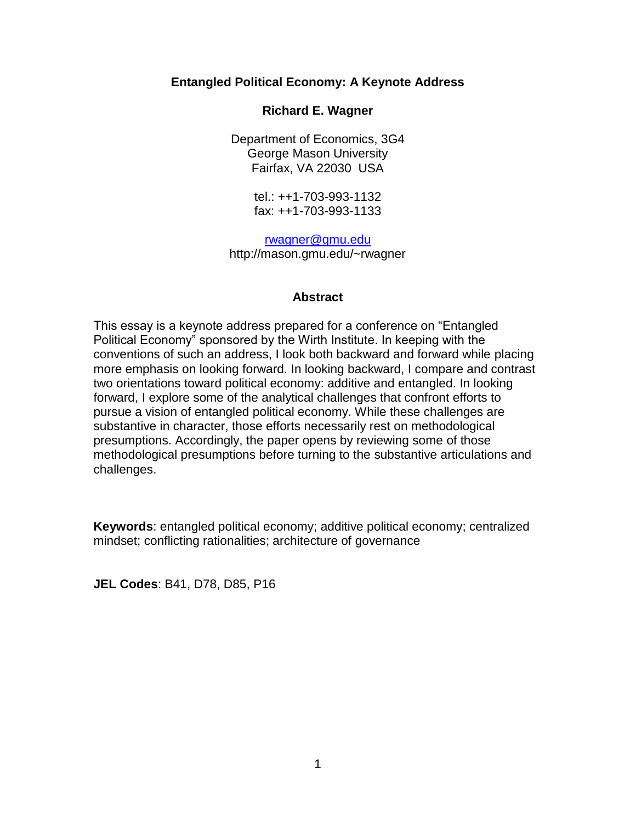# **Entangled Political Economy: A Keynote Address**

# **Richard E. Wagner**

Department of Economics, 3G4 George Mason University Fairfax, VA 22030 USA

> tel.: ++1-703-993-1132 fax: ++1-703-993-1133

[rwagner@gmu.edu](mailto:rwagner@gmu.edu) http://mason.gmu.edu/~rwagner

## **Abstract**

This essay is a keynote address prepared for a conference on "Entangled Political Economy" sponsored by the Wirth Institute. In keeping with the conventions of such an address, I look both backward and forward while placing more emphasis on looking forward. In looking backward, I compare and contrast two orientations toward political economy: additive and entangled. In looking forward, I explore some of the analytical challenges that confront efforts to pursue a vision of entangled political economy. While these challenges are substantive in character, those efforts necessarily rest on methodological presumptions. Accordingly, the paper opens by reviewing some of those methodological presumptions before turning to the substantive articulations and challenges.

**Keywords**: entangled political economy; additive political economy; centralized mindset; conflicting rationalities; architecture of governance

**JEL Codes**: B41, D78, D85, P16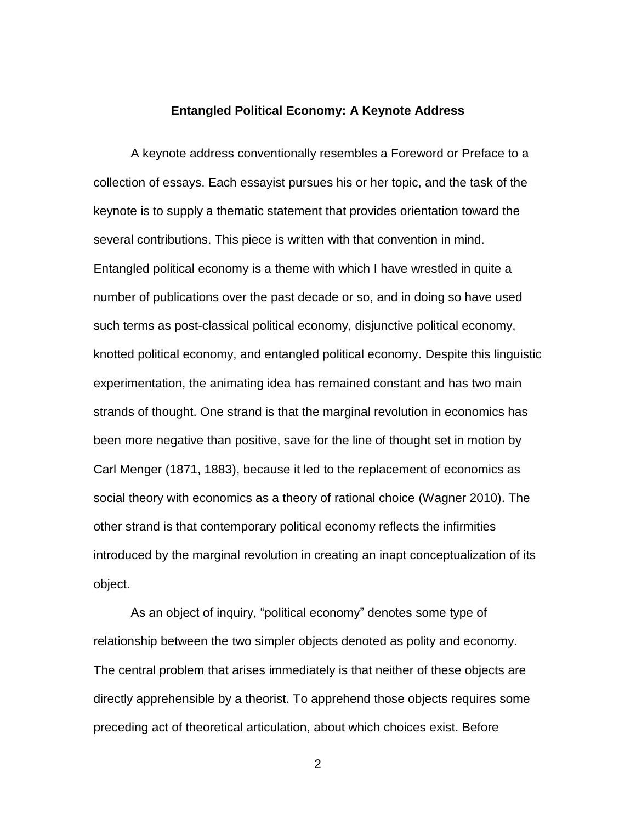#### **Entangled Political Economy: A Keynote Address**

A keynote address conventionally resembles a Foreword or Preface to a collection of essays. Each essayist pursues his or her topic, and the task of the keynote is to supply a thematic statement that provides orientation toward the several contributions. This piece is written with that convention in mind. Entangled political economy is a theme with which I have wrestled in quite a number of publications over the past decade or so, and in doing so have used such terms as post-classical political economy, disjunctive political economy, knotted political economy, and entangled political economy. Despite this linguistic experimentation, the animating idea has remained constant and has two main strands of thought. One strand is that the marginal revolution in economics has been more negative than positive, save for the line of thought set in motion by Carl Menger (1871, 1883), because it led to the replacement of economics as social theory with economics as a theory of rational choice (Wagner 2010). The other strand is that contemporary political economy reflects the infirmities introduced by the marginal revolution in creating an inapt conceptualization of its object.

As an object of inquiry, "political economy" denotes some type of relationship between the two simpler objects denoted as polity and economy. The central problem that arises immediately is that neither of these objects are directly apprehensible by a theorist. To apprehend those objects requires some preceding act of theoretical articulation, about which choices exist. Before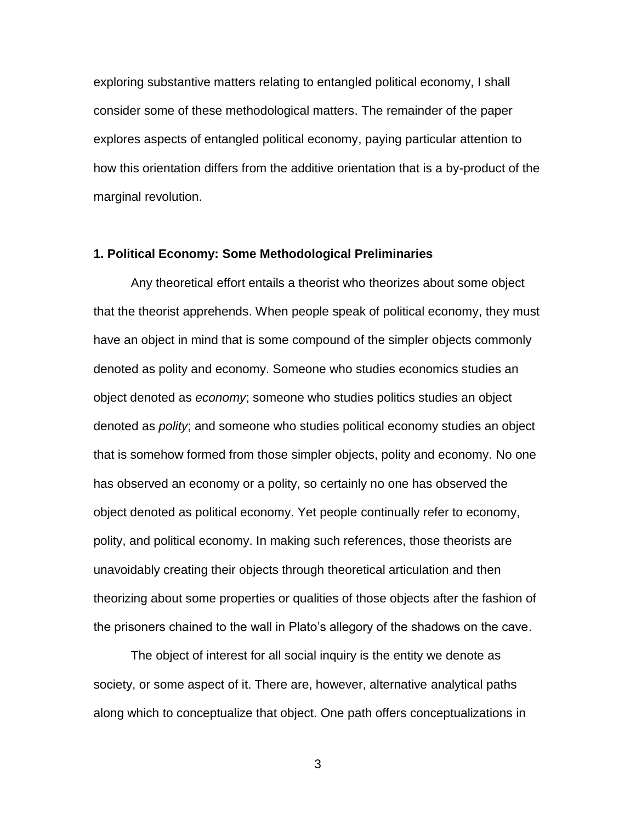exploring substantive matters relating to entangled political economy, I shall consider some of these methodological matters. The remainder of the paper explores aspects of entangled political economy, paying particular attention to how this orientation differs from the additive orientation that is a by-product of the marginal revolution.

## **1. Political Economy: Some Methodological Preliminaries**

Any theoretical effort entails a theorist who theorizes about some object that the theorist apprehends. When people speak of political economy, they must have an object in mind that is some compound of the simpler objects commonly denoted as polity and economy. Someone who studies economics studies an object denoted as *economy*; someone who studies politics studies an object denoted as *polity*; and someone who studies political economy studies an object that is somehow formed from those simpler objects, polity and economy. No one has observed an economy or a polity, so certainly no one has observed the object denoted as political economy. Yet people continually refer to economy, polity, and political economy. In making such references, those theorists are unavoidably creating their objects through theoretical articulation and then theorizing about some properties or qualities of those objects after the fashion of the prisoners chained to the wall in Plato's allegory of the shadows on the cave.

The object of interest for all social inquiry is the entity we denote as society, or some aspect of it. There are, however, alternative analytical paths along which to conceptualize that object. One path offers conceptualizations in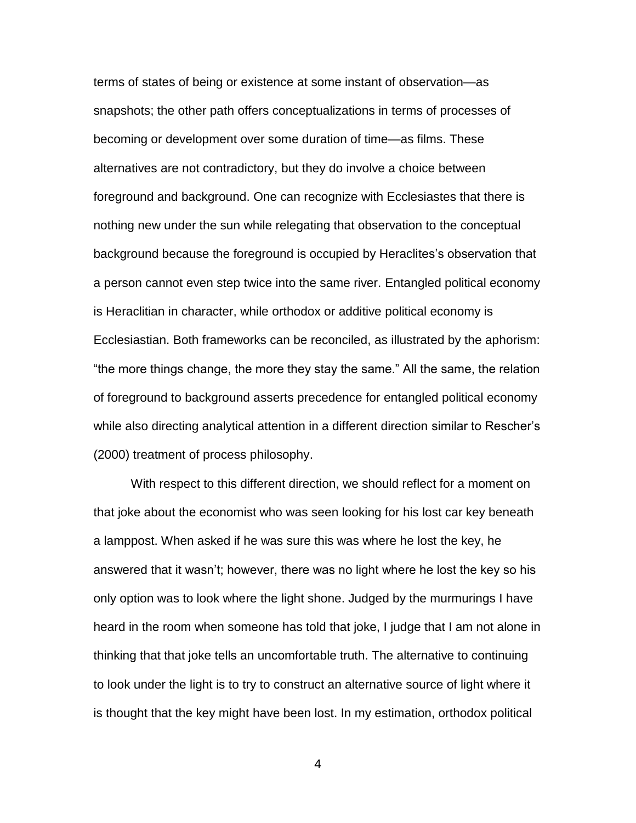terms of states of being or existence at some instant of observation—as snapshots; the other path offers conceptualizations in terms of processes of becoming or development over some duration of time—as films. These alternatives are not contradictory, but they do involve a choice between foreground and background. One can recognize with Ecclesiastes that there is nothing new under the sun while relegating that observation to the conceptual background because the foreground is occupied by Heraclites's observation that a person cannot even step twice into the same river. Entangled political economy is Heraclitian in character, while orthodox or additive political economy is Ecclesiastian. Both frameworks can be reconciled, as illustrated by the aphorism: "the more things change, the more they stay the same." All the same, the relation of foreground to background asserts precedence for entangled political economy while also directing analytical attention in a different direction similar to Rescher's (2000) treatment of process philosophy.

With respect to this different direction, we should reflect for a moment on that joke about the economist who was seen looking for his lost car key beneath a lamppost. When asked if he was sure this was where he lost the key, he answered that it wasn't; however, there was no light where he lost the key so his only option was to look where the light shone. Judged by the murmurings I have heard in the room when someone has told that joke, I judge that I am not alone in thinking that that joke tells an uncomfortable truth. The alternative to continuing to look under the light is to try to construct an alternative source of light where it is thought that the key might have been lost. In my estimation, orthodox political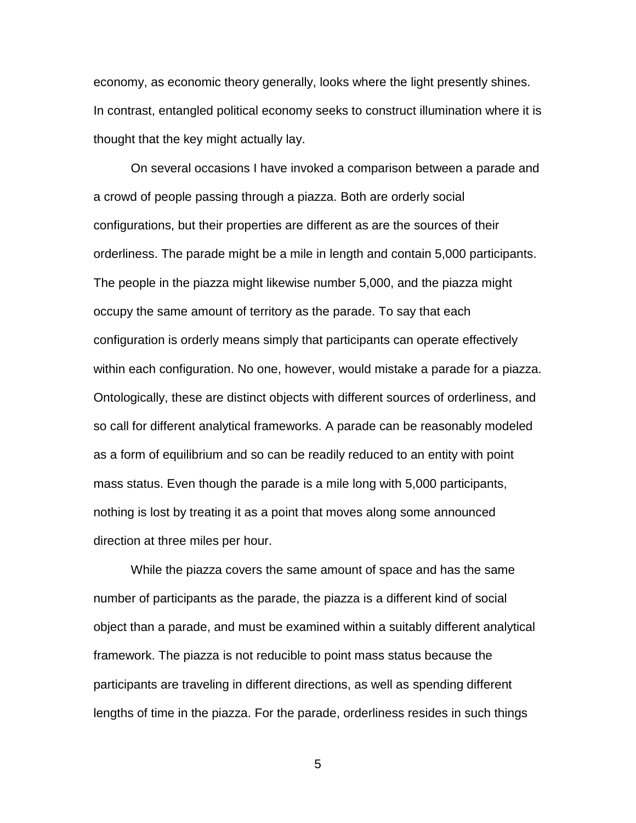economy, as economic theory generally, looks where the light presently shines. In contrast, entangled political economy seeks to construct illumination where it is thought that the key might actually lay.

On several occasions I have invoked a comparison between a parade and a crowd of people passing through a piazza. Both are orderly social configurations, but their properties are different as are the sources of their orderliness. The parade might be a mile in length and contain 5,000 participants. The people in the piazza might likewise number 5,000, and the piazza might occupy the same amount of territory as the parade. To say that each configuration is orderly means simply that participants can operate effectively within each configuration. No one, however, would mistake a parade for a piazza. Ontologically, these are distinct objects with different sources of orderliness, and so call for different analytical frameworks. A parade can be reasonably modeled as a form of equilibrium and so can be readily reduced to an entity with point mass status. Even though the parade is a mile long with 5,000 participants, nothing is lost by treating it as a point that moves along some announced direction at three miles per hour.

While the piazza covers the same amount of space and has the same number of participants as the parade, the piazza is a different kind of social object than a parade, and must be examined within a suitably different analytical framework. The piazza is not reducible to point mass status because the participants are traveling in different directions, as well as spending different lengths of time in the piazza. For the parade, orderliness resides in such things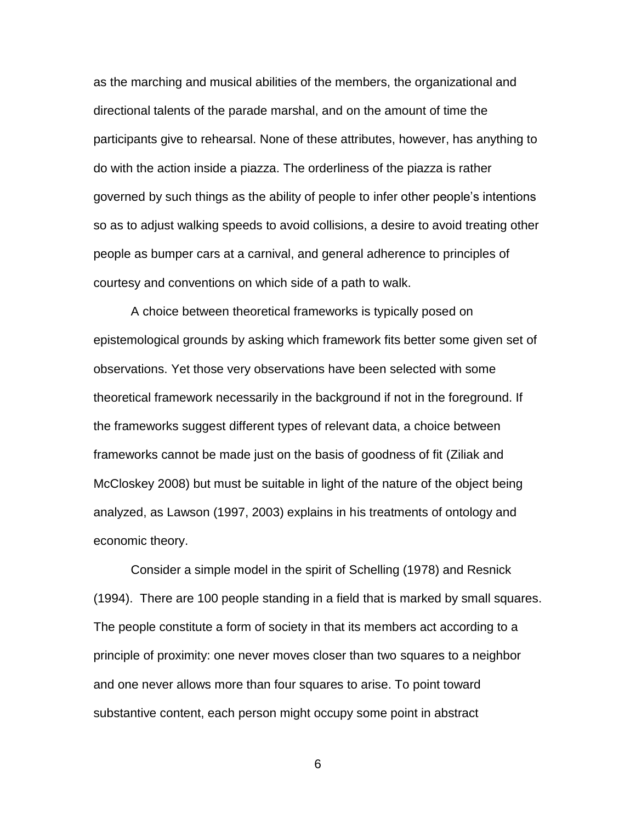as the marching and musical abilities of the members, the organizational and directional talents of the parade marshal, and on the amount of time the participants give to rehearsal. None of these attributes, however, has anything to do with the action inside a piazza. The orderliness of the piazza is rather governed by such things as the ability of people to infer other people's intentions so as to adjust walking speeds to avoid collisions, a desire to avoid treating other people as bumper cars at a carnival, and general adherence to principles of courtesy and conventions on which side of a path to walk.

A choice between theoretical frameworks is typically posed on epistemological grounds by asking which framework fits better some given set of observations. Yet those very observations have been selected with some theoretical framework necessarily in the background if not in the foreground. If the frameworks suggest different types of relevant data, a choice between frameworks cannot be made just on the basis of goodness of fit (Ziliak and McCloskey 2008) but must be suitable in light of the nature of the object being analyzed, as Lawson (1997, 2003) explains in his treatments of ontology and economic theory.

Consider a simple model in the spirit of Schelling (1978) and Resnick (1994). There are 100 people standing in a field that is marked by small squares. The people constitute a form of society in that its members act according to a principle of proximity: one never moves closer than two squares to a neighbor and one never allows more than four squares to arise. To point toward substantive content, each person might occupy some point in abstract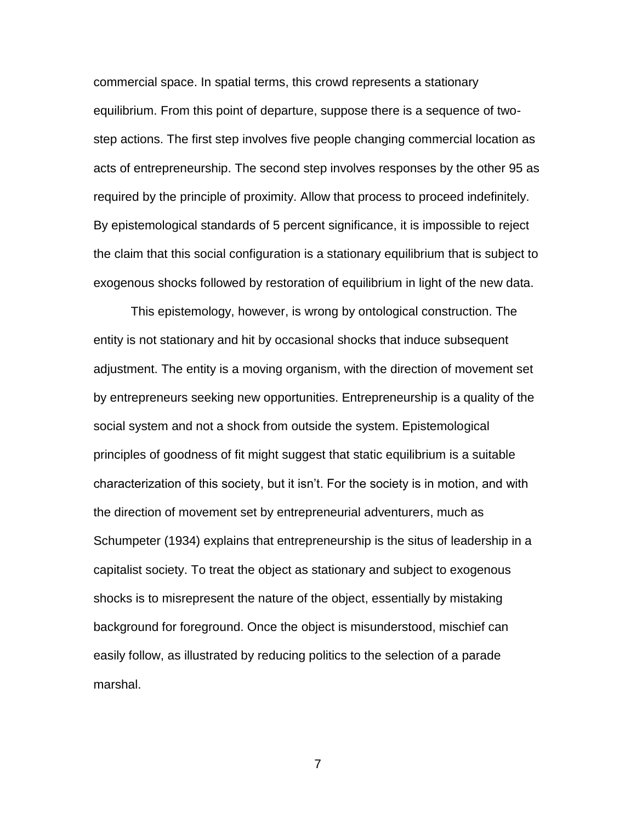commercial space. In spatial terms, this crowd represents a stationary equilibrium. From this point of departure, suppose there is a sequence of twostep actions. The first step involves five people changing commercial location as acts of entrepreneurship. The second step involves responses by the other 95 as required by the principle of proximity. Allow that process to proceed indefinitely. By epistemological standards of 5 percent significance, it is impossible to reject the claim that this social configuration is a stationary equilibrium that is subject to exogenous shocks followed by restoration of equilibrium in light of the new data.

This epistemology, however, is wrong by ontological construction. The entity is not stationary and hit by occasional shocks that induce subsequent adjustment. The entity is a moving organism, with the direction of movement set by entrepreneurs seeking new opportunities. Entrepreneurship is a quality of the social system and not a shock from outside the system. Epistemological principles of goodness of fit might suggest that static equilibrium is a suitable characterization of this society, but it isn't. For the society is in motion, and with the direction of movement set by entrepreneurial adventurers, much as Schumpeter (1934) explains that entrepreneurship is the situs of leadership in a capitalist society. To treat the object as stationary and subject to exogenous shocks is to misrepresent the nature of the object, essentially by mistaking background for foreground. Once the object is misunderstood, mischief can easily follow, as illustrated by reducing politics to the selection of a parade marshal.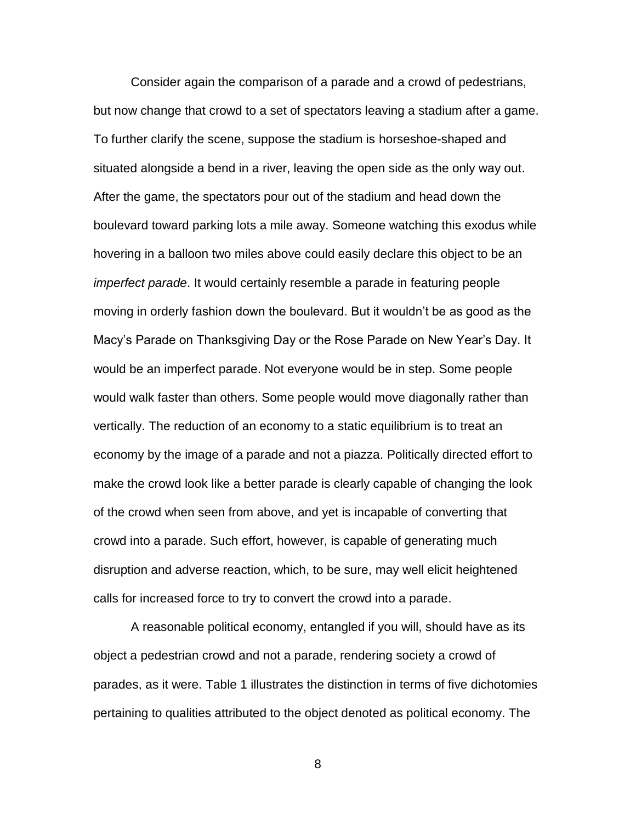Consider again the comparison of a parade and a crowd of pedestrians, but now change that crowd to a set of spectators leaving a stadium after a game. To further clarify the scene, suppose the stadium is horseshoe-shaped and situated alongside a bend in a river, leaving the open side as the only way out. After the game, the spectators pour out of the stadium and head down the boulevard toward parking lots a mile away. Someone watching this exodus while hovering in a balloon two miles above could easily declare this object to be an *imperfect parade*. It would certainly resemble a parade in featuring people moving in orderly fashion down the boulevard. But it wouldn't be as good as the Macy's Parade on Thanksgiving Day or the Rose Parade on New Year's Day. It would be an imperfect parade. Not everyone would be in step. Some people would walk faster than others. Some people would move diagonally rather than vertically. The reduction of an economy to a static equilibrium is to treat an economy by the image of a parade and not a piazza. Politically directed effort to make the crowd look like a better parade is clearly capable of changing the look of the crowd when seen from above, and yet is incapable of converting that crowd into a parade. Such effort, however, is capable of generating much disruption and adverse reaction, which, to be sure, may well elicit heightened calls for increased force to try to convert the crowd into a parade.

A reasonable political economy, entangled if you will, should have as its object a pedestrian crowd and not a parade, rendering society a crowd of parades, as it were. Table 1 illustrates the distinction in terms of five dichotomies pertaining to qualities attributed to the object denoted as political economy. The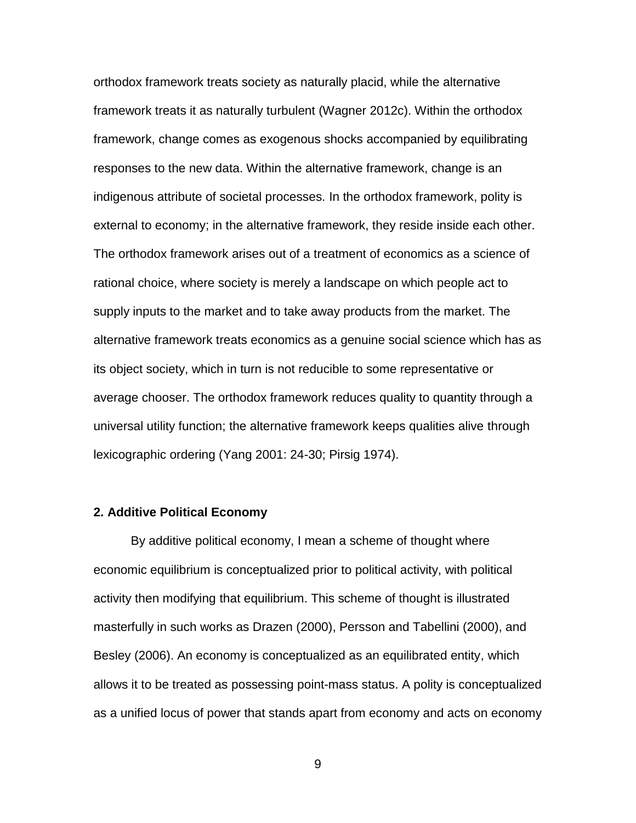orthodox framework treats society as naturally placid, while the alternative framework treats it as naturally turbulent (Wagner 2012c). Within the orthodox framework, change comes as exogenous shocks accompanied by equilibrating responses to the new data. Within the alternative framework, change is an indigenous attribute of societal processes. In the orthodox framework, polity is external to economy; in the alternative framework, they reside inside each other. The orthodox framework arises out of a treatment of economics as a science of rational choice, where society is merely a landscape on which people act to supply inputs to the market and to take away products from the market. The alternative framework treats economics as a genuine social science which has as its object society, which in turn is not reducible to some representative or average chooser. The orthodox framework reduces quality to quantity through a universal utility function; the alternative framework keeps qualities alive through lexicographic ordering (Yang 2001: 24-30; Pirsig 1974).

#### **2. Additive Political Economy**

By additive political economy, I mean a scheme of thought where economic equilibrium is conceptualized prior to political activity, with political activity then modifying that equilibrium. This scheme of thought is illustrated masterfully in such works as Drazen (2000), Persson and Tabellini (2000), and Besley (2006). An economy is conceptualized as an equilibrated entity, which allows it to be treated as possessing point-mass status. A polity is conceptualized as a unified locus of power that stands apart from economy and acts on economy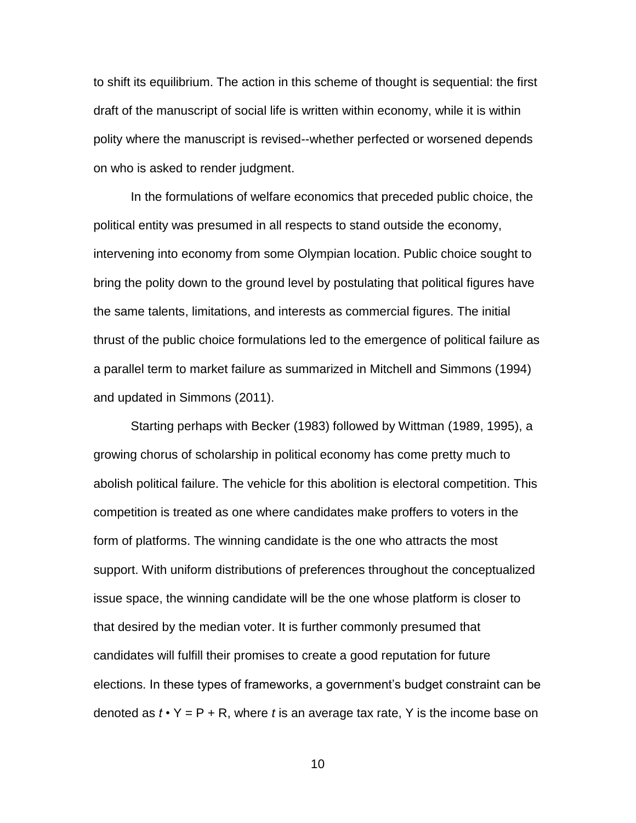to shift its equilibrium. The action in this scheme of thought is sequential: the first draft of the manuscript of social life is written within economy, while it is within polity where the manuscript is revised--whether perfected or worsened depends on who is asked to render judgment.

In the formulations of welfare economics that preceded public choice, the political entity was presumed in all respects to stand outside the economy, intervening into economy from some Olympian location. Public choice sought to bring the polity down to the ground level by postulating that political figures have the same talents, limitations, and interests as commercial figures. The initial thrust of the public choice formulations led to the emergence of political failure as a parallel term to market failure as summarized in Mitchell and Simmons (1994) and updated in Simmons (2011).

Starting perhaps with Becker (1983) followed by Wittman (1989, 1995), a growing chorus of scholarship in political economy has come pretty much to abolish political failure. The vehicle for this abolition is electoral competition. This competition is treated as one where candidates make proffers to voters in the form of platforms. The winning candidate is the one who attracts the most support. With uniform distributions of preferences throughout the conceptualized issue space, the winning candidate will be the one whose platform is closer to that desired by the median voter. It is further commonly presumed that candidates will fulfill their promises to create a good reputation for future elections. In these types of frameworks, a government's budget constraint can be denoted as  $t \cdot Y = P + R$ , where *t* is an average tax rate, Y is the income base on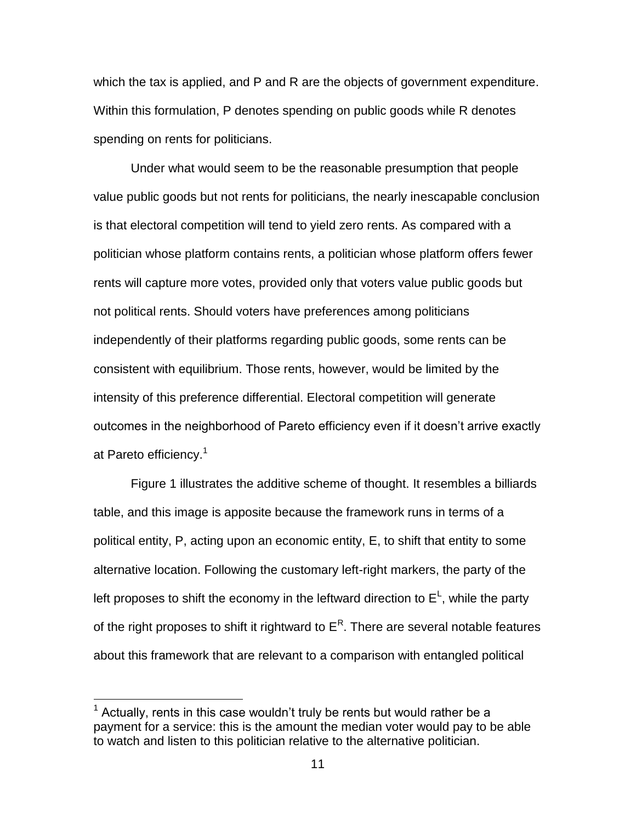which the tax is applied, and P and R are the objects of government expenditure. Within this formulation, P denotes spending on public goods while R denotes spending on rents for politicians.

Under what would seem to be the reasonable presumption that people value public goods but not rents for politicians, the nearly inescapable conclusion is that electoral competition will tend to yield zero rents. As compared with a politician whose platform contains rents, a politician whose platform offers fewer rents will capture more votes, provided only that voters value public goods but not political rents. Should voters have preferences among politicians independently of their platforms regarding public goods, some rents can be consistent with equilibrium. Those rents, however, would be limited by the intensity of this preference differential. Electoral competition will generate outcomes in the neighborhood of Pareto efficiency even if it doesn't arrive exactly at Pareto efficiency.<sup>1</sup>

Figure 1 illustrates the additive scheme of thought. It resembles a billiards table, and this image is apposite because the framework runs in terms of a political entity, P, acting upon an economic entity, E, to shift that entity to some alternative location. Following the customary left-right markers, the party of the left proposes to shift the economy in the leftward direction to  $E^{\text{L}}$ , while the party of the right proposes to shift it rightward to  $\mathsf{E}^\mathsf{R}.$  There are several notable features about this framework that are relevant to a comparison with entangled political

 $\overline{a}$ 

 $1$  Actually, rents in this case wouldn't truly be rents but would rather be a payment for a service: this is the amount the median voter would pay to be able to watch and listen to this politician relative to the alternative politician.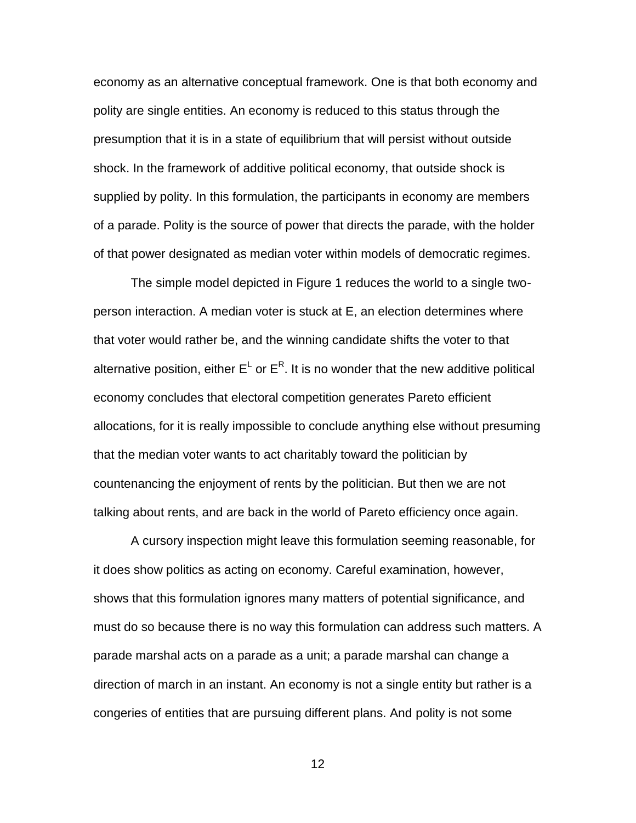economy as an alternative conceptual framework. One is that both economy and polity are single entities. An economy is reduced to this status through the presumption that it is in a state of equilibrium that will persist without outside shock. In the framework of additive political economy, that outside shock is supplied by polity. In this formulation, the participants in economy are members of a parade. Polity is the source of power that directs the parade, with the holder of that power designated as median voter within models of democratic regimes.

The simple model depicted in Figure 1 reduces the world to a single twoperson interaction. A median voter is stuck at E, an election determines where that voter would rather be, and the winning candidate shifts the voter to that alternative position, either  $E^{\text{L}}$  or  $E^{\text{R}}$ . It is no wonder that the new additive political economy concludes that electoral competition generates Pareto efficient allocations, for it is really impossible to conclude anything else without presuming that the median voter wants to act charitably toward the politician by countenancing the enjoyment of rents by the politician. But then we are not talking about rents, and are back in the world of Pareto efficiency once again.

A cursory inspection might leave this formulation seeming reasonable, for it does show politics as acting on economy. Careful examination, however, shows that this formulation ignores many matters of potential significance, and must do so because there is no way this formulation can address such matters. A parade marshal acts on a parade as a unit; a parade marshal can change a direction of march in an instant. An economy is not a single entity but rather is a congeries of entities that are pursuing different plans. And polity is not some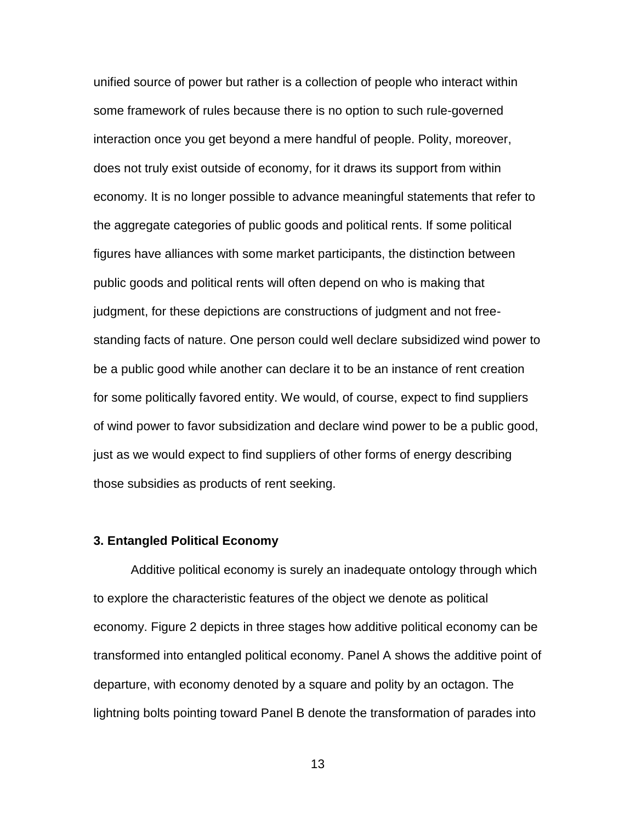unified source of power but rather is a collection of people who interact within some framework of rules because there is no option to such rule-governed interaction once you get beyond a mere handful of people. Polity, moreover, does not truly exist outside of economy, for it draws its support from within economy. It is no longer possible to advance meaningful statements that refer to the aggregate categories of public goods and political rents. If some political figures have alliances with some market participants, the distinction between public goods and political rents will often depend on who is making that judgment, for these depictions are constructions of judgment and not freestanding facts of nature. One person could well declare subsidized wind power to be a public good while another can declare it to be an instance of rent creation for some politically favored entity. We would, of course, expect to find suppliers of wind power to favor subsidization and declare wind power to be a public good, just as we would expect to find suppliers of other forms of energy describing those subsidies as products of rent seeking.

## **3. Entangled Political Economy**

Additive political economy is surely an inadequate ontology through which to explore the characteristic features of the object we denote as political economy. Figure 2 depicts in three stages how additive political economy can be transformed into entangled political economy. Panel A shows the additive point of departure, with economy denoted by a square and polity by an octagon. The lightning bolts pointing toward Panel B denote the transformation of parades into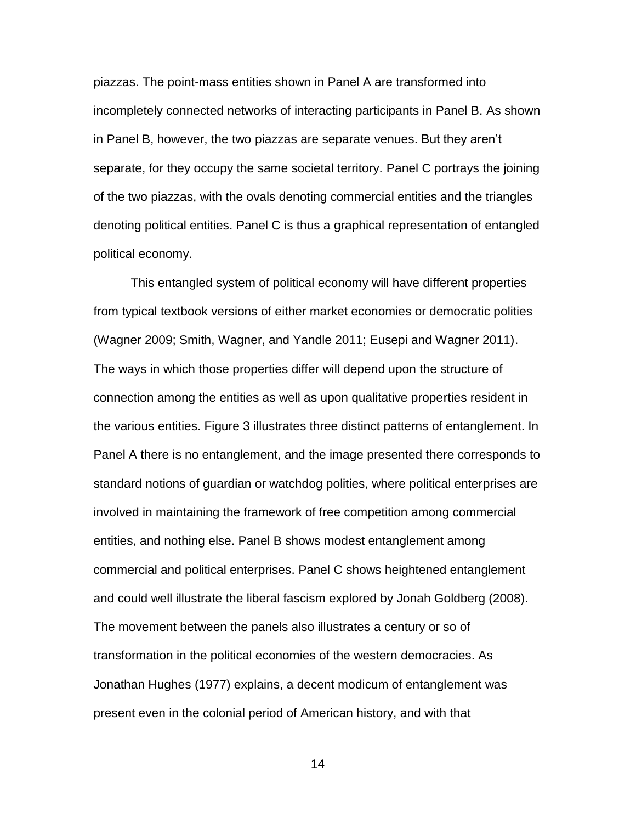piazzas. The point-mass entities shown in Panel A are transformed into incompletely connected networks of interacting participants in Panel B. As shown in Panel B, however, the two piazzas are separate venues. But they aren't separate, for they occupy the same societal territory. Panel C portrays the joining of the two piazzas, with the ovals denoting commercial entities and the triangles denoting political entities. Panel C is thus a graphical representation of entangled political economy.

This entangled system of political economy will have different properties from typical textbook versions of either market economies or democratic polities (Wagner 2009; Smith, Wagner, and Yandle 2011; Eusepi and Wagner 2011). The ways in which those properties differ will depend upon the structure of connection among the entities as well as upon qualitative properties resident in the various entities. Figure 3 illustrates three distinct patterns of entanglement. In Panel A there is no entanglement, and the image presented there corresponds to standard notions of guardian or watchdog polities, where political enterprises are involved in maintaining the framework of free competition among commercial entities, and nothing else. Panel B shows modest entanglement among commercial and political enterprises. Panel C shows heightened entanglement and could well illustrate the liberal fascism explored by Jonah Goldberg (2008). The movement between the panels also illustrates a century or so of transformation in the political economies of the western democracies. As Jonathan Hughes (1977) explains, a decent modicum of entanglement was present even in the colonial period of American history, and with that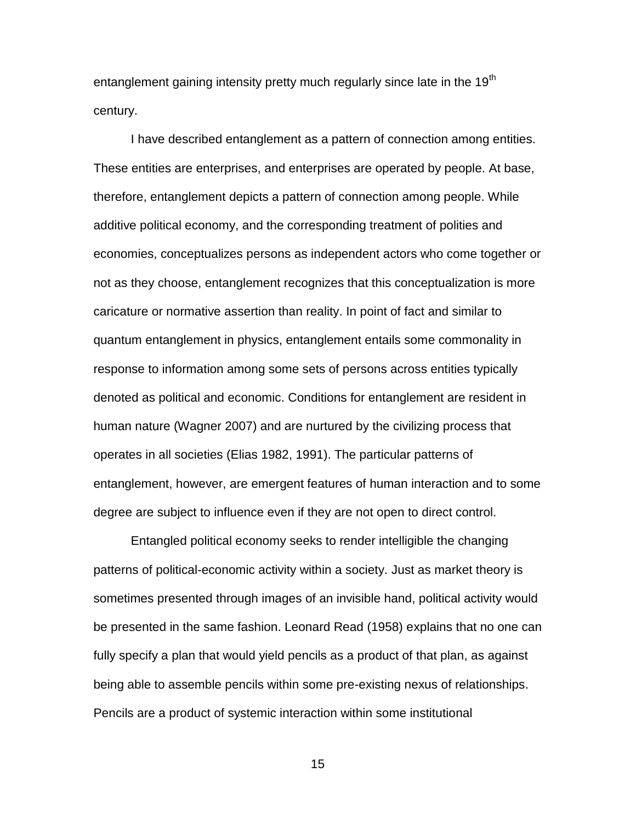entanglement gaining intensity pretty much regularly since late in the 19<sup>th</sup> century.

I have described entanglement as a pattern of connection among entities. These entities are enterprises, and enterprises are operated by people. At base, therefore, entanglement depicts a pattern of connection among people. While additive political economy, and the corresponding treatment of polities and economies, conceptualizes persons as independent actors who come together or not as they choose, entanglement recognizes that this conceptualization is more caricature or normative assertion than reality. In point of fact and similar to quantum entanglement in physics, entanglement entails some commonality in response to information among some sets of persons across entities typically denoted as political and economic. Conditions for entanglement are resident in human nature (Wagner 2007) and are nurtured by the civilizing process that operates in all societies (Elias 1982, 1991). The particular patterns of entanglement, however, are emergent features of human interaction and to some degree are subject to influence even if they are not open to direct control.

Entangled political economy seeks to render intelligible the changing patterns of political-economic activity within a society. Just as market theory is sometimes presented through images of an invisible hand, political activity would be presented in the same fashion. Leonard Read (1958) explains that no one can fully specify a plan that would yield pencils as a product of that plan, as against being able to assemble pencils within some pre-existing nexus of relationships. Pencils are a product of systemic interaction within some institutional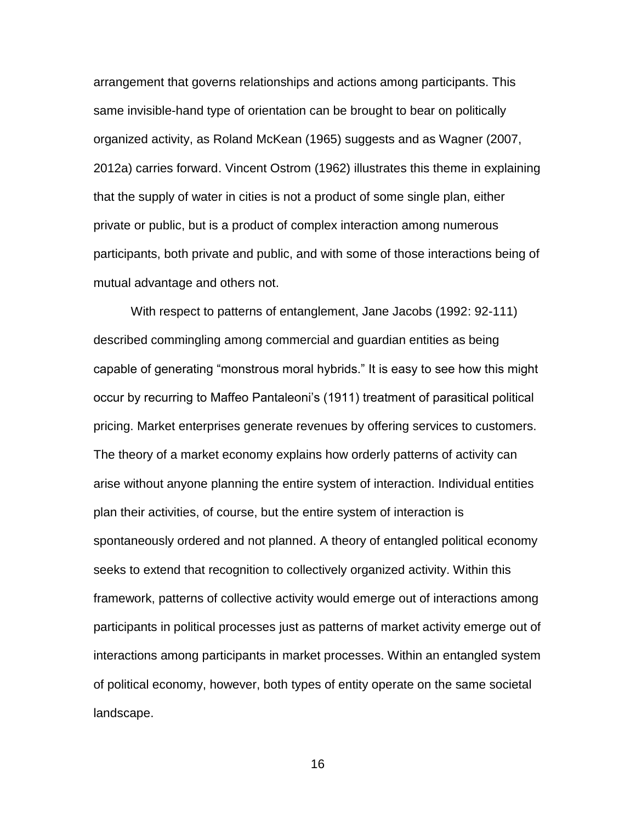arrangement that governs relationships and actions among participants. This same invisible-hand type of orientation can be brought to bear on politically organized activity, as Roland McKean (1965) suggests and as Wagner (2007, 2012a) carries forward. Vincent Ostrom (1962) illustrates this theme in explaining that the supply of water in cities is not a product of some single plan, either private or public, but is a product of complex interaction among numerous participants, both private and public, and with some of those interactions being of mutual advantage and others not.

With respect to patterns of entanglement, Jane Jacobs (1992: 92-111) described commingling among commercial and guardian entities as being capable of generating "monstrous moral hybrids." It is easy to see how this might occur by recurring to Maffeo Pantaleoni's (1911) treatment of parasitical political pricing. Market enterprises generate revenues by offering services to customers. The theory of a market economy explains how orderly patterns of activity can arise without anyone planning the entire system of interaction. Individual entities plan their activities, of course, but the entire system of interaction is spontaneously ordered and not planned. A theory of entangled political economy seeks to extend that recognition to collectively organized activity. Within this framework, patterns of collective activity would emerge out of interactions among participants in political processes just as patterns of market activity emerge out of interactions among participants in market processes. Within an entangled system of political economy, however, both types of entity operate on the same societal landscape.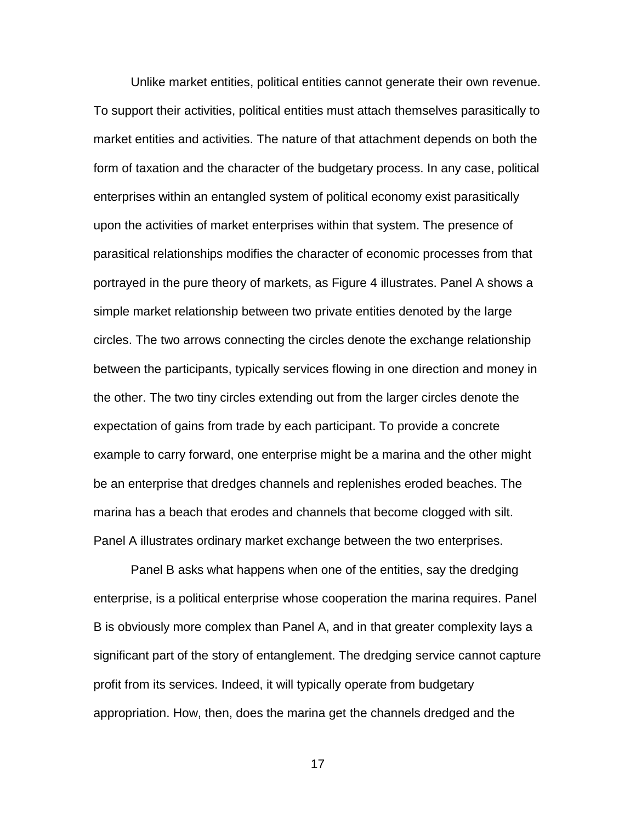Unlike market entities, political entities cannot generate their own revenue. To support their activities, political entities must attach themselves parasitically to market entities and activities. The nature of that attachment depends on both the form of taxation and the character of the budgetary process. In any case, political enterprises within an entangled system of political economy exist parasitically upon the activities of market enterprises within that system. The presence of parasitical relationships modifies the character of economic processes from that portrayed in the pure theory of markets, as Figure 4 illustrates. Panel A shows a simple market relationship between two private entities denoted by the large circles. The two arrows connecting the circles denote the exchange relationship between the participants, typically services flowing in one direction and money in the other. The two tiny circles extending out from the larger circles denote the expectation of gains from trade by each participant. To provide a concrete example to carry forward, one enterprise might be a marina and the other might be an enterprise that dredges channels and replenishes eroded beaches. The marina has a beach that erodes and channels that become clogged with silt. Panel A illustrates ordinary market exchange between the two enterprises.

Panel B asks what happens when one of the entities, say the dredging enterprise, is a political enterprise whose cooperation the marina requires. Panel B is obviously more complex than Panel A, and in that greater complexity lays a significant part of the story of entanglement. The dredging service cannot capture profit from its services. Indeed, it will typically operate from budgetary appropriation. How, then, does the marina get the channels dredged and the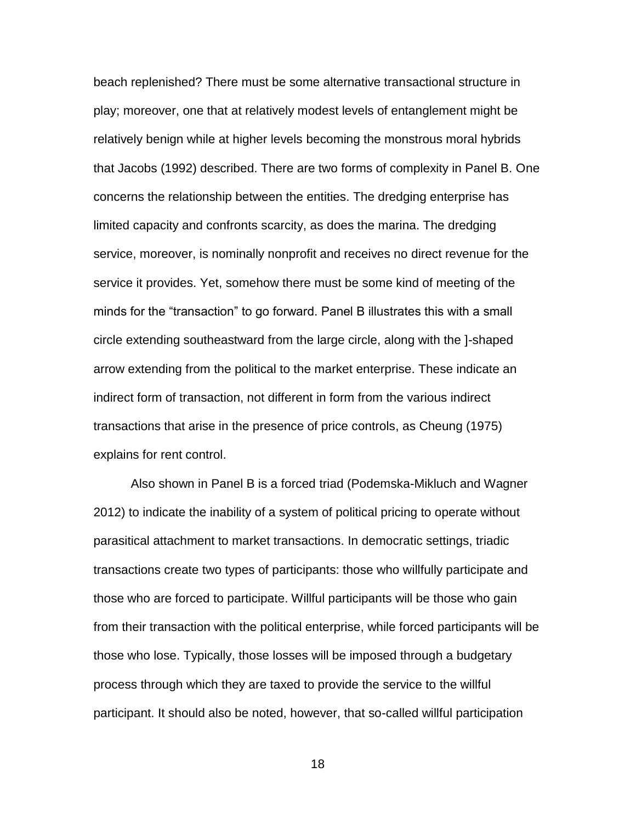beach replenished? There must be some alternative transactional structure in play; moreover, one that at relatively modest levels of entanglement might be relatively benign while at higher levels becoming the monstrous moral hybrids that Jacobs (1992) described. There are two forms of complexity in Panel B. One concerns the relationship between the entities. The dredging enterprise has limited capacity and confronts scarcity, as does the marina. The dredging service, moreover, is nominally nonprofit and receives no direct revenue for the service it provides. Yet, somehow there must be some kind of meeting of the minds for the "transaction" to go forward. Panel B illustrates this with a small circle extending southeastward from the large circle, along with the ]-shaped arrow extending from the political to the market enterprise. These indicate an indirect form of transaction, not different in form from the various indirect transactions that arise in the presence of price controls, as Cheung (1975) explains for rent control.

Also shown in Panel B is a forced triad (Podemska-Mikluch and Wagner 2012) to indicate the inability of a system of political pricing to operate without parasitical attachment to market transactions. In democratic settings, triadic transactions create two types of participants: those who willfully participate and those who are forced to participate. Willful participants will be those who gain from their transaction with the political enterprise, while forced participants will be those who lose. Typically, those losses will be imposed through a budgetary process through which they are taxed to provide the service to the willful participant. It should also be noted, however, that so-called willful participation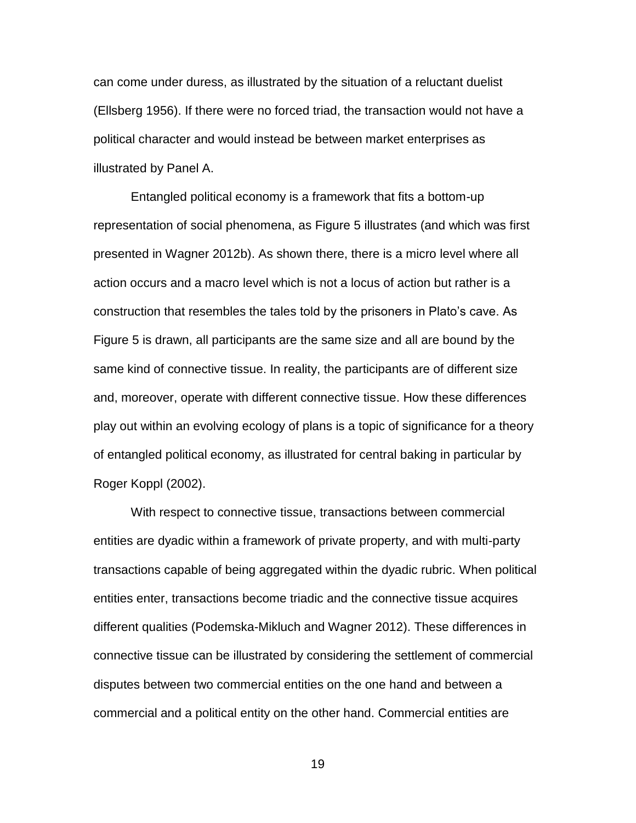can come under duress, as illustrated by the situation of a reluctant duelist (Ellsberg 1956). If there were no forced triad, the transaction would not have a political character and would instead be between market enterprises as illustrated by Panel A.

Entangled political economy is a framework that fits a bottom-up representation of social phenomena, as Figure 5 illustrates (and which was first presented in Wagner 2012b). As shown there, there is a micro level where all action occurs and a macro level which is not a locus of action but rather is a construction that resembles the tales told by the prisoners in Plato's cave. As Figure 5 is drawn, all participants are the same size and all are bound by the same kind of connective tissue. In reality, the participants are of different size and, moreover, operate with different connective tissue. How these differences play out within an evolving ecology of plans is a topic of significance for a theory of entangled political economy, as illustrated for central baking in particular by Roger Koppl (2002).

With respect to connective tissue, transactions between commercial entities are dyadic within a framework of private property, and with multi-party transactions capable of being aggregated within the dyadic rubric. When political entities enter, transactions become triadic and the connective tissue acquires different qualities (Podemska-Mikluch and Wagner 2012). These differences in connective tissue can be illustrated by considering the settlement of commercial disputes between two commercial entities on the one hand and between a commercial and a political entity on the other hand. Commercial entities are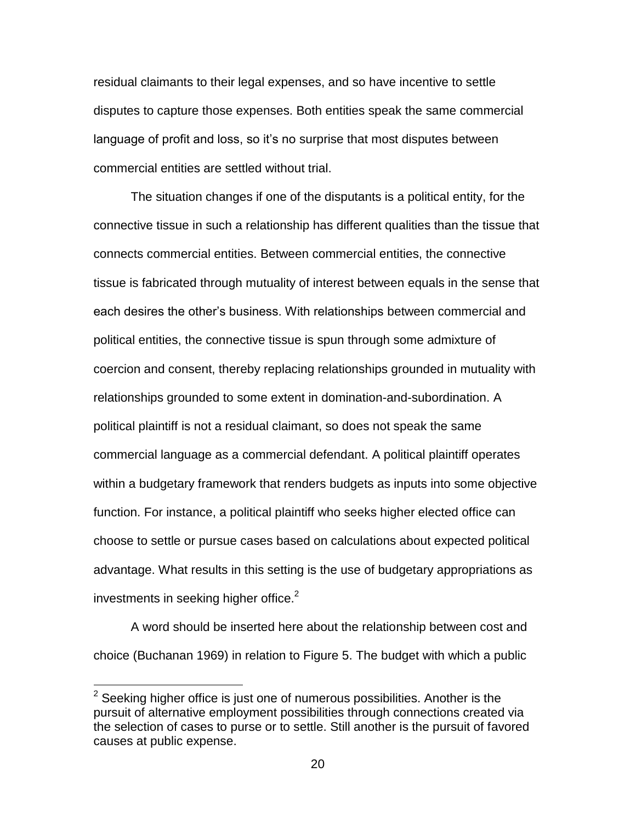residual claimants to their legal expenses, and so have incentive to settle disputes to capture those expenses. Both entities speak the same commercial language of profit and loss, so it's no surprise that most disputes between commercial entities are settled without trial.

The situation changes if one of the disputants is a political entity, for the connective tissue in such a relationship has different qualities than the tissue that connects commercial entities. Between commercial entities, the connective tissue is fabricated through mutuality of interest between equals in the sense that each desires the other's business. With relationships between commercial and political entities, the connective tissue is spun through some admixture of coercion and consent, thereby replacing relationships grounded in mutuality with relationships grounded to some extent in domination-and-subordination. A political plaintiff is not a residual claimant, so does not speak the same commercial language as a commercial defendant. A political plaintiff operates within a budgetary framework that renders budgets as inputs into some objective function. For instance, a political plaintiff who seeks higher elected office can choose to settle or pursue cases based on calculations about expected political advantage. What results in this setting is the use of budgetary appropriations as investments in seeking higher office. $2$ 

A word should be inserted here about the relationship between cost and choice (Buchanan 1969) in relation to Figure 5. The budget with which a public

 $\overline{a}$ 

 $2$  Seeking higher office is just one of numerous possibilities. Another is the pursuit of alternative employment possibilities through connections created via the selection of cases to purse or to settle. Still another is the pursuit of favored causes at public expense.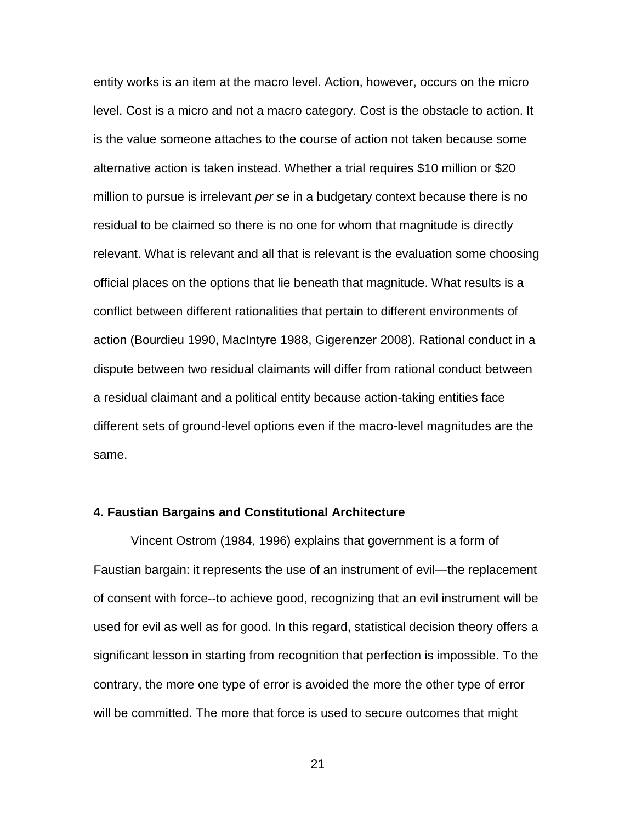entity works is an item at the macro level. Action, however, occurs on the micro level. Cost is a micro and not a macro category. Cost is the obstacle to action. It is the value someone attaches to the course of action not taken because some alternative action is taken instead. Whether a trial requires \$10 million or \$20 million to pursue is irrelevant *per se* in a budgetary context because there is no residual to be claimed so there is no one for whom that magnitude is directly relevant. What is relevant and all that is relevant is the evaluation some choosing official places on the options that lie beneath that magnitude. What results is a conflict between different rationalities that pertain to different environments of action (Bourdieu 1990, MacIntyre 1988, Gigerenzer 2008). Rational conduct in a dispute between two residual claimants will differ from rational conduct between a residual claimant and a political entity because action-taking entities face different sets of ground-level options even if the macro-level magnitudes are the same.

### **4. Faustian Bargains and Constitutional Architecture**

Vincent Ostrom (1984, 1996) explains that government is a form of Faustian bargain: it represents the use of an instrument of evil—the replacement of consent with force--to achieve good, recognizing that an evil instrument will be used for evil as well as for good. In this regard, statistical decision theory offers a significant lesson in starting from recognition that perfection is impossible. To the contrary, the more one type of error is avoided the more the other type of error will be committed. The more that force is used to secure outcomes that might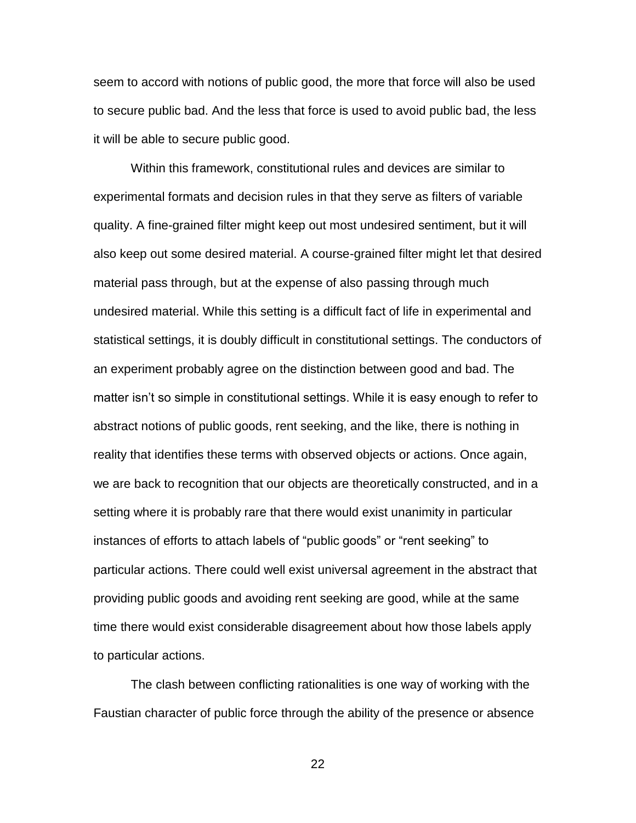seem to accord with notions of public good, the more that force will also be used to secure public bad. And the less that force is used to avoid public bad, the less it will be able to secure public good.

Within this framework, constitutional rules and devices are similar to experimental formats and decision rules in that they serve as filters of variable quality. A fine-grained filter might keep out most undesired sentiment, but it will also keep out some desired material. A course-grained filter might let that desired material pass through, but at the expense of also passing through much undesired material. While this setting is a difficult fact of life in experimental and statistical settings, it is doubly difficult in constitutional settings. The conductors of an experiment probably agree on the distinction between good and bad. The matter isn't so simple in constitutional settings. While it is easy enough to refer to abstract notions of public goods, rent seeking, and the like, there is nothing in reality that identifies these terms with observed objects or actions. Once again, we are back to recognition that our objects are theoretically constructed, and in a setting where it is probably rare that there would exist unanimity in particular instances of efforts to attach labels of "public goods" or "rent seeking" to particular actions. There could well exist universal agreement in the abstract that providing public goods and avoiding rent seeking are good, while at the same time there would exist considerable disagreement about how those labels apply to particular actions.

The clash between conflicting rationalities is one way of working with the Faustian character of public force through the ability of the presence or absence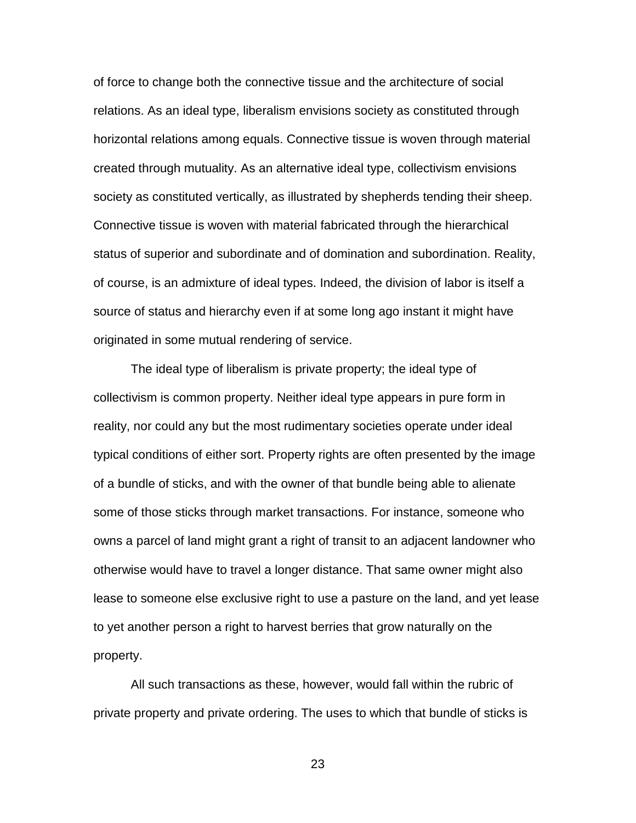of force to change both the connective tissue and the architecture of social relations. As an ideal type, liberalism envisions society as constituted through horizontal relations among equals. Connective tissue is woven through material created through mutuality. As an alternative ideal type, collectivism envisions society as constituted vertically, as illustrated by shepherds tending their sheep. Connective tissue is woven with material fabricated through the hierarchical status of superior and subordinate and of domination and subordination. Reality, of course, is an admixture of ideal types. Indeed, the division of labor is itself a source of status and hierarchy even if at some long ago instant it might have originated in some mutual rendering of service.

The ideal type of liberalism is private property; the ideal type of collectivism is common property. Neither ideal type appears in pure form in reality, nor could any but the most rudimentary societies operate under ideal typical conditions of either sort. Property rights are often presented by the image of a bundle of sticks, and with the owner of that bundle being able to alienate some of those sticks through market transactions. For instance, someone who owns a parcel of land might grant a right of transit to an adjacent landowner who otherwise would have to travel a longer distance. That same owner might also lease to someone else exclusive right to use a pasture on the land, and yet lease to yet another person a right to harvest berries that grow naturally on the property.

All such transactions as these, however, would fall within the rubric of private property and private ordering. The uses to which that bundle of sticks is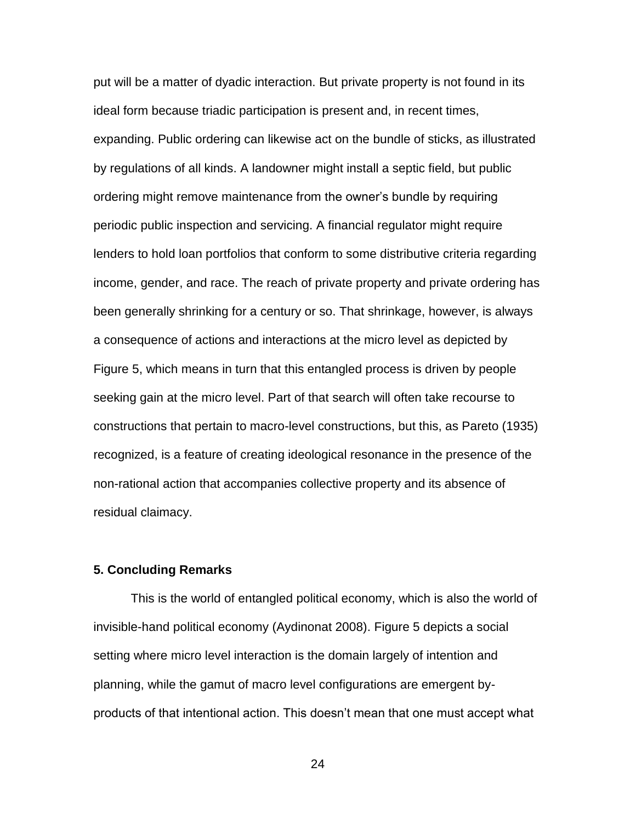put will be a matter of dyadic interaction. But private property is not found in its ideal form because triadic participation is present and, in recent times, expanding. Public ordering can likewise act on the bundle of sticks, as illustrated by regulations of all kinds. A landowner might install a septic field, but public ordering might remove maintenance from the owner's bundle by requiring periodic public inspection and servicing. A financial regulator might require lenders to hold loan portfolios that conform to some distributive criteria regarding income, gender, and race. The reach of private property and private ordering has been generally shrinking for a century or so. That shrinkage, however, is always a consequence of actions and interactions at the micro level as depicted by Figure 5, which means in turn that this entangled process is driven by people seeking gain at the micro level. Part of that search will often take recourse to constructions that pertain to macro-level constructions, but this, as Pareto (1935) recognized, is a feature of creating ideological resonance in the presence of the non-rational action that accompanies collective property and its absence of residual claimacy.

## **5. Concluding Remarks**

This is the world of entangled political economy, which is also the world of invisible-hand political economy (Aydinonat 2008). Figure 5 depicts a social setting where micro level interaction is the domain largely of intention and planning, while the gamut of macro level configurations are emergent byproducts of that intentional action. This doesn't mean that one must accept what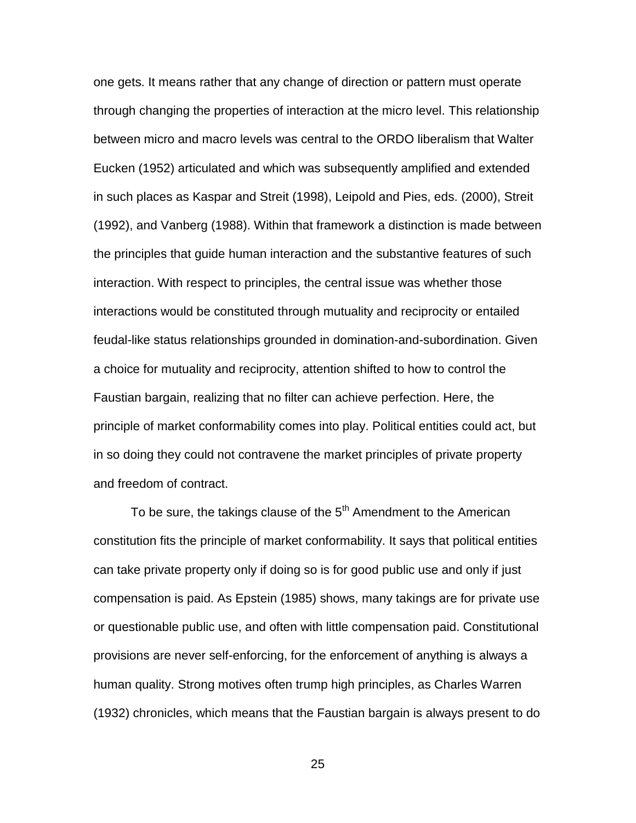one gets. It means rather that any change of direction or pattern must operate through changing the properties of interaction at the micro level. This relationship between micro and macro levels was central to the ORDO liberalism that Walter Eucken (1952) articulated and which was subsequently amplified and extended in such places as Kaspar and Streit (1998), Leipold and Pies, eds. (2000), Streit (1992), and Vanberg (1988). Within that framework a distinction is made between the principles that guide human interaction and the substantive features of such interaction. With respect to principles, the central issue was whether those interactions would be constituted through mutuality and reciprocity or entailed feudal-like status relationships grounded in domination-and-subordination. Given a choice for mutuality and reciprocity, attention shifted to how to control the Faustian bargain, realizing that no filter can achieve perfection. Here, the principle of market conformability comes into play. Political entities could act, but in so doing they could not contravene the market principles of private property and freedom of contract.

To be sure, the takings clause of the  $5<sup>th</sup>$  Amendment to the American constitution fits the principle of market conformability. It says that political entities can take private property only if doing so is for good public use and only if just compensation is paid. As Epstein (1985) shows, many takings are for private use or questionable public use, and often with little compensation paid. Constitutional provisions are never self-enforcing, for the enforcement of anything is always a human quality. Strong motives often trump high principles, as Charles Warren (1932) chronicles, which means that the Faustian bargain is always present to do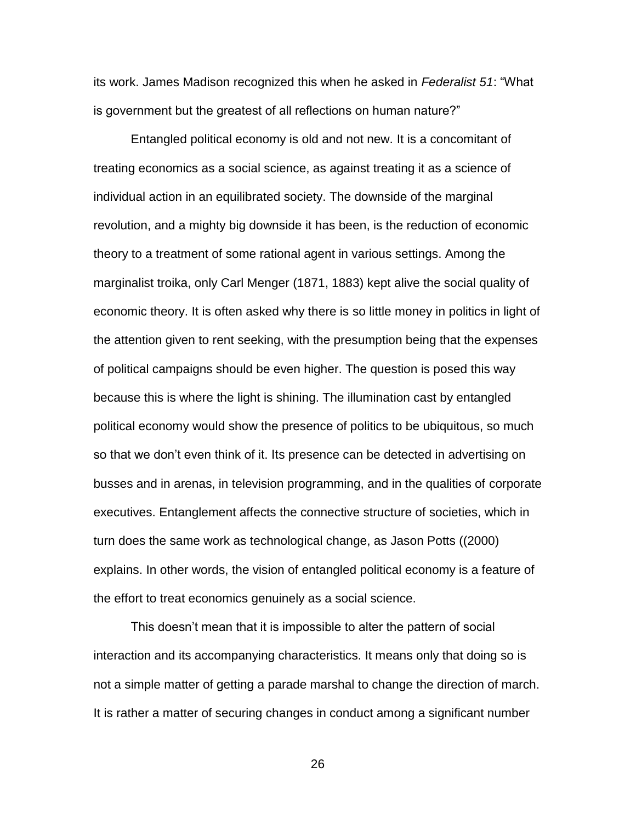its work. James Madison recognized this when he asked in *Federalist 51*: "What is government but the greatest of all reflections on human nature?"

Entangled political economy is old and not new. It is a concomitant of treating economics as a social science, as against treating it as a science of individual action in an equilibrated society. The downside of the marginal revolution, and a mighty big downside it has been, is the reduction of economic theory to a treatment of some rational agent in various settings. Among the marginalist troika, only Carl Menger (1871, 1883) kept alive the social quality of economic theory. It is often asked why there is so little money in politics in light of the attention given to rent seeking, with the presumption being that the expenses of political campaigns should be even higher. The question is posed this way because this is where the light is shining. The illumination cast by entangled political economy would show the presence of politics to be ubiquitous, so much so that we don't even think of it. Its presence can be detected in advertising on busses and in arenas, in television programming, and in the qualities of corporate executives. Entanglement affects the connective structure of societies, which in turn does the same work as technological change, as Jason Potts ((2000) explains. In other words, the vision of entangled political economy is a feature of the effort to treat economics genuinely as a social science.

This doesn't mean that it is impossible to alter the pattern of social interaction and its accompanying characteristics. It means only that doing so is not a simple matter of getting a parade marshal to change the direction of march. It is rather a matter of securing changes in conduct among a significant number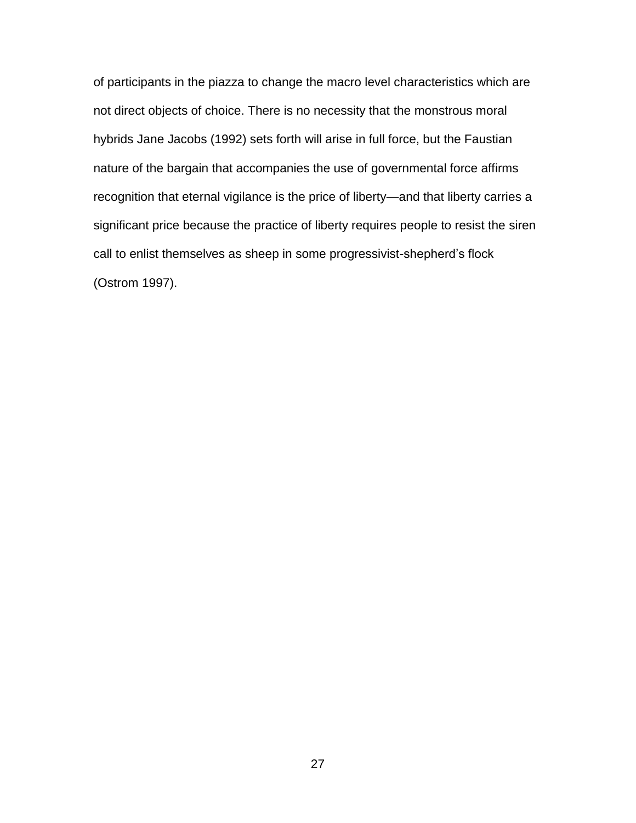of participants in the piazza to change the macro level characteristics which are not direct objects of choice. There is no necessity that the monstrous moral hybrids Jane Jacobs (1992) sets forth will arise in full force, but the Faustian nature of the bargain that accompanies the use of governmental force affirms recognition that eternal vigilance is the price of liberty—and that liberty carries a significant price because the practice of liberty requires people to resist the siren call to enlist themselves as sheep in some progressivist-shepherd's flock (Ostrom 1997).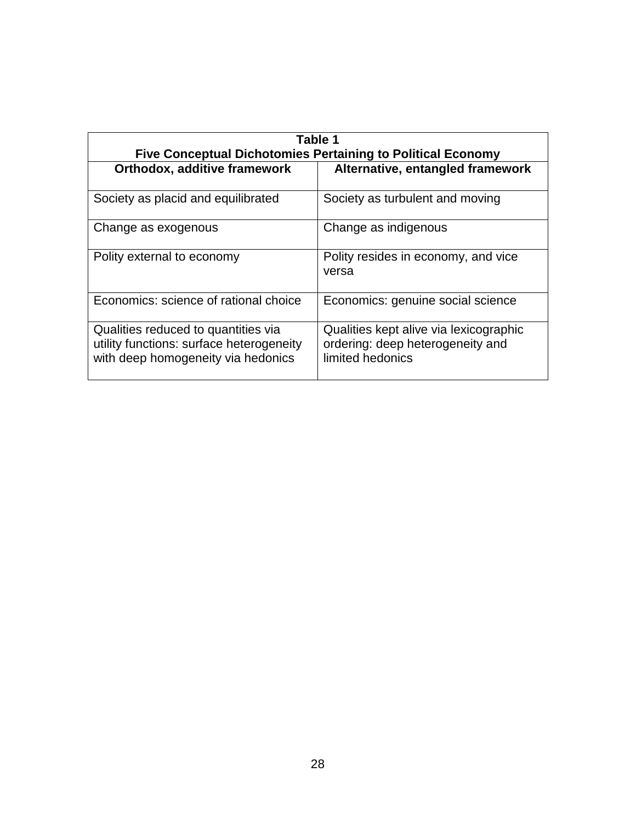| Table 1                                                                                                               |                                                                                                |
|-----------------------------------------------------------------------------------------------------------------------|------------------------------------------------------------------------------------------------|
| <b>Five Conceptual Dichotomies Pertaining to Political Economy</b>                                                    |                                                                                                |
| <b>Orthodox, additive framework</b>                                                                                   | Alternative, entangled framework                                                               |
| Society as placid and equilibrated                                                                                    | Society as turbulent and moving                                                                |
| Change as exogenous                                                                                                   | Change as indigenous                                                                           |
| Polity external to economy                                                                                            | Polity resides in economy, and vice<br>versa                                                   |
| Economics: science of rational choice                                                                                 | Economics: genuine social science                                                              |
| Qualities reduced to quantities via<br>utility functions: surface heterogeneity<br>with deep homogeneity via hedonics | Qualities kept alive via lexicographic<br>ordering: deep heterogeneity and<br>limited hedonics |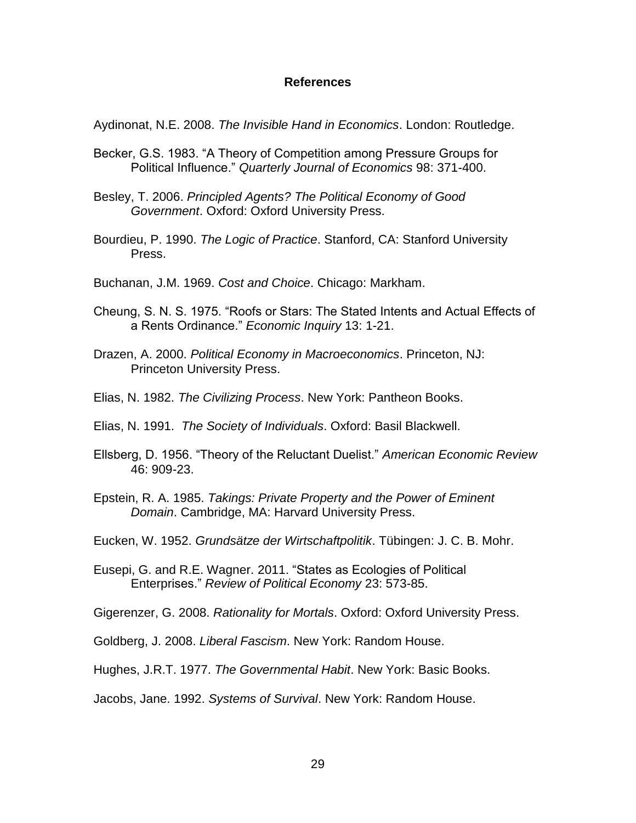## **References**

Aydinonat, N.E. 2008. *The Invisible Hand in Economics*. London: Routledge.

- Becker, G.S. 1983. "A Theory of Competition among Pressure Groups for Political Influence." *Quarterly Journal of Economics* 98: 371-400.
- Besley, T. 2006. *Principled Agents? The Political Economy of Good Government*. Oxford: Oxford University Press.
- Bourdieu, P. 1990. *The Logic of Practice*. Stanford, CA: Stanford University Press.
- Buchanan, J.M. 1969. *Cost and Choice*. Chicago: Markham.
- Cheung, S. N. S. 1975. "Roofs or Stars: The Stated Intents and Actual Effects of a Rents Ordinance." *Economic Inquiry* 13: 1-21.
- Drazen, A. 2000. *Political Economy in Macroeconomics*. Princeton, NJ: Princeton University Press.
- Elias, N. 1982. *The Civilizing Process*. New York: Pantheon Books.
- Elias, N. 1991. *The Society of Individuals*. Oxford: Basil Blackwell.
- Ellsberg, D. 1956. "Theory of the Reluctant Duelist." *American Economic Review* 46: 909-23.
- Epstein, R. A. 1985. *Takings: Private Property and the Power of Eminent Domain*. Cambridge, MA: Harvard University Press.
- Eucken, W. 1952. *Grundsätze der Wirtschaftpolitik*. Tübingen: J. C. B. Mohr.
- Eusepi, G. and R.E. Wagner. 2011. "States as Ecologies of Political Enterprises." *Review of Political Economy* 23: 573-85.

Gigerenzer, G. 2008. *Rationality for Mortals*. Oxford: Oxford University Press.

Goldberg, J. 2008. *Liberal Fascism*. New York: Random House.

Hughes, J.R.T. 1977. *The Governmental Habit*. New York: Basic Books.

Jacobs, Jane. 1992. *Systems of Survival*. New York: Random House.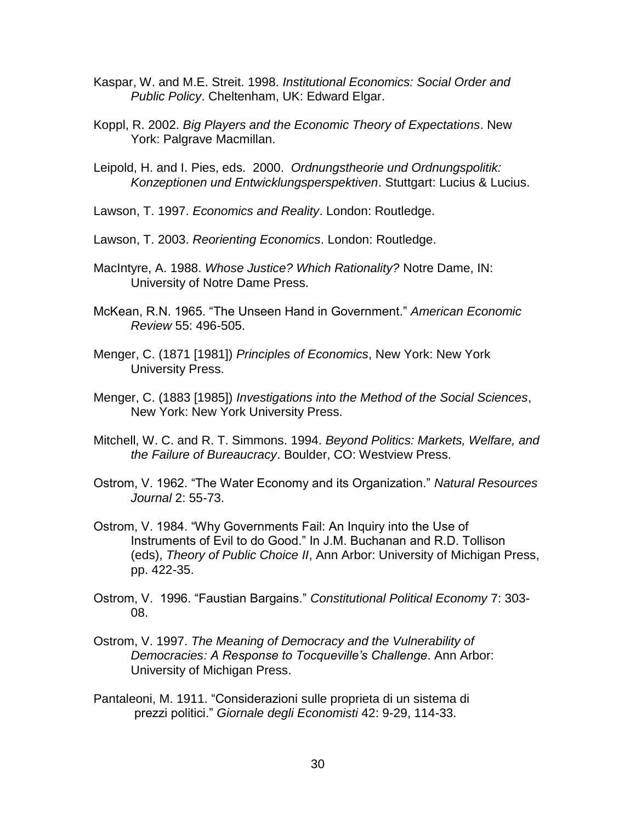- Kaspar, W. and M.E. Streit. 1998. *Institutional Economics: Social Order and Public Policy*. Cheltenham, UK: Edward Elgar.
- Koppl, R. 2002. *Big Players and the Economic Theory of Expectations*. New York: Palgrave Macmillan.
- Leipold, H. and I. Pies, eds. 2000. *Ordnungstheorie und Ordnungspolitik: Konzeptionen und Entwicklungsperspektiven*. Stuttgart: Lucius & Lucius.
- Lawson, T. 1997. *Economics and Reality*. London: Routledge.
- Lawson, T. 2003. *Reorienting Economics*. London: Routledge.
- MacIntyre, A. 1988. *Whose Justice? Which Rationality?* Notre Dame, IN: University of Notre Dame Press.
- McKean, R.N. 1965. "The Unseen Hand in Government." *American Economic Review* 55: 496-505.
- Menger, C. (1871 [1981]) *Principles of Economics*, New York: New York University Press.
- Menger, C. (1883 [1985]) *Investigations into the Method of the Social Sciences*, New York: New York University Press.
- Mitchell, W. C. and R. T. Simmons. 1994. *Beyond Politics: Markets, Welfare, and the Failure of Bureaucracy*. Boulder, CO: Westview Press.
- Ostrom, V. 1962. "The Water Economy and its Organization." *Natural Resources Journal* 2: 55-73.
- Ostrom, V. 1984. "Why Governments Fail: An Inquiry into the Use of Instruments of Evil to do Good." In J.M. Buchanan and R.D. Tollison (eds), *Theory of Public Choice II*, Ann Arbor: University of Michigan Press, pp. 422-35.
- Ostrom, V. 1996. "Faustian Bargains." *Constitutional Political Economy* 7: 303- 08.
- Ostrom, V. 1997. *The Meaning of Democracy and the Vulnerability of Democracies: A Response to Tocqueville's Challenge*. Ann Arbor: University of Michigan Press.
- Pantaleoni, M. 1911. "Considerazioni sulle proprieta di un sistema di prezzi politici." *Giornale degli Economisti* 42: 9-29, 114-33.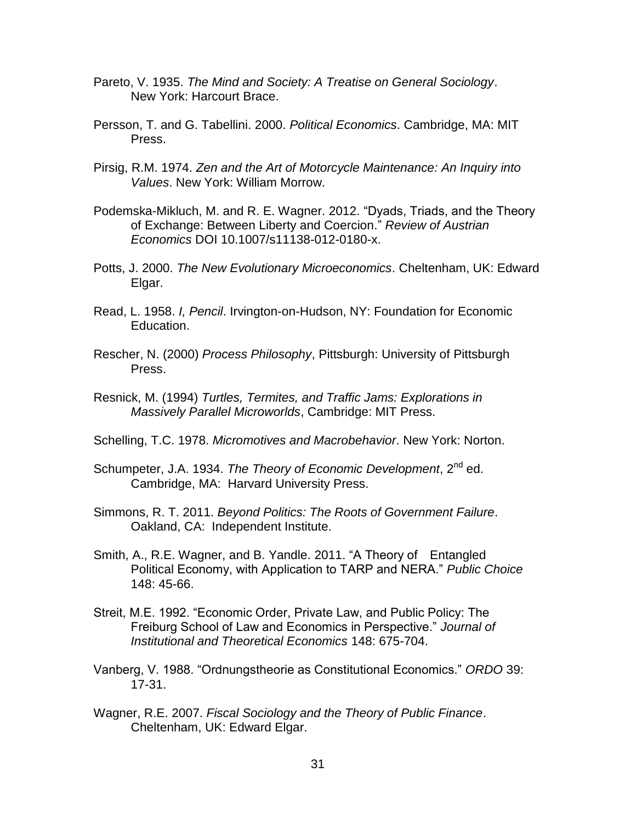- Pareto, V. 1935. *The Mind and Society: A Treatise on General Sociology*. New York: Harcourt Brace.
- Persson, T. and G. Tabellini. 2000. *Political Economics*. Cambridge, MA: MIT Press.
- Pirsig, R.M. 1974. *Zen and the Art of Motorcycle Maintenance: An Inquiry into Values*. New York: William Morrow.
- Podemska-Mikluch, M. and R. E. Wagner. 2012. "Dyads, Triads, and the Theory of Exchange: Between Liberty and Coercion." *Review of Austrian Economics* DOI 10.1007/s11138-012-0180-x.
- Potts, J. 2000. *The New Evolutionary Microeconomics*. Cheltenham, UK: Edward Elgar.
- Read, L. 1958. *I, Pencil*. Irvington-on-Hudson, NY: Foundation for Economic Education.
- Rescher, N. (2000) *Process Philosophy*, Pittsburgh: University of Pittsburgh Press.
- Resnick, M. (1994) *Turtles, Termites, and Traffic Jams: Explorations in Massively Parallel Microworlds*, Cambridge: MIT Press.
- Schelling, T.C. 1978. *Micromotives and Macrobehavior*. New York: Norton.
- Schumpeter, J.A. 1934. *The Theory of Economic Development*, 2<sup>nd</sup> ed. Cambridge, MA: Harvard University Press.
- Simmons, R. T. 2011. *Beyond Politics: The Roots of Government Failure*. Oakland, CA: Independent Institute.
- Smith, A., R.E. Wagner, and B. Yandle. 2011. "A Theory of Entangled Political Economy, with Application to TARP and NERA." *Public Choice* 148: 45-66.
- Streit, M.E. 1992. "Economic Order, Private Law, and Public Policy: The Freiburg School of Law and Economics in Perspective." *Journal of Institutional and Theoretical Economics* 148: 675-704.
- Vanberg, V. 1988. "Ordnungstheorie as Constitutional Economics." *ORDO* 39: 17-31.
- Wagner, R.E. 2007. *Fiscal Sociology and the Theory of Public Finance*. Cheltenham, UK: Edward Elgar.